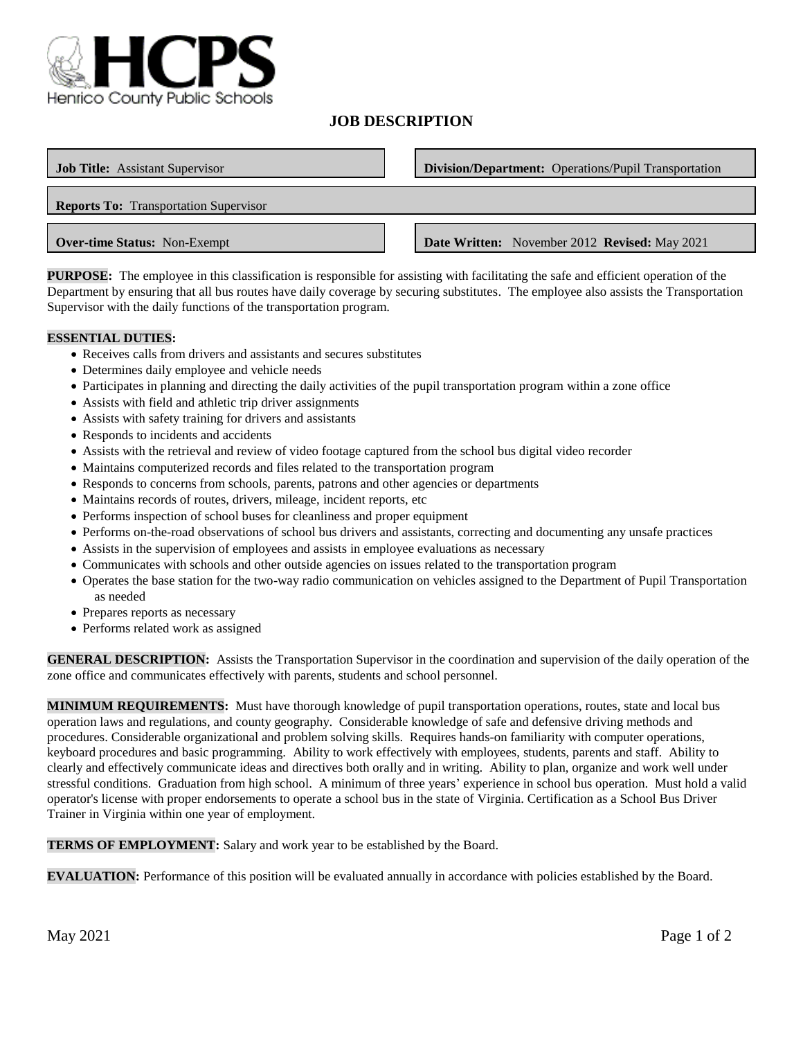

# **JOB DESCRIPTION**

| <b>Job Title:</b> Assistant Supervisor       | <b>Division/Department:</b> Operations/Pupil Transportation |
|----------------------------------------------|-------------------------------------------------------------|
| <b>Reports To:</b> Transportation Supervisor |                                                             |
| <b>Over-time Status:</b> Non-Exempt          | <b>Date Written:</b> November 2012 <b>Revised:</b> May 2021 |

**PURPOSE:** The employee in this classification is responsible for assisting with facilitating the safe and efficient operation of the Department by ensuring that all bus routes have daily coverage by securing substitutes. The employee also assists the Transportation Supervisor with the daily functions of the transportation program.

### **ESSENTIAL DUTIES:**

- Receives calls from drivers and assistants and secures substitutes
- Determines daily employee and vehicle needs
- Participates in planning and directing the daily activities of the pupil transportation program within a zone office
- Assists with field and athletic trip driver assignments
- Assists with safety training for drivers and assistants
- Responds to incidents and accidents
- Assists with the retrieval and review of video footage captured from the school bus digital video recorder
- Maintains computerized records and files related to the transportation program
- Responds to concerns from schools, parents, patrons and other agencies or departments
- Maintains records of routes, drivers, mileage, incident reports, etc
- Performs inspection of school buses for cleanliness and proper equipment
- Performs on-the-road observations of school bus drivers and assistants, correcting and documenting any unsafe practices
- Assists in the supervision of employees and assists in employee evaluations as necessary
- Communicates with schools and other outside agencies on issues related to the transportation program
- Operates the base station for the two-way radio communication on vehicles assigned to the Department of Pupil Transportation as needed
- Prepares reports as necessary
- Performs related work as assigned

**GENERAL DESCRIPTION:** Assists the Transportation Supervisor in the coordination and supervision of the daily operation of the zone office and communicates effectively with parents, students and school personnel.

**MINIMUM REQUIREMENTS:** Must have thorough knowledge of pupil transportation operations, routes, state and local bus operation laws and regulations, and county geography. Considerable knowledge of safe and defensive driving methods and procedures. Considerable organizational and problem solving skills. Requires hands-on familiarity with computer operations, keyboard procedures and basic programming. Ability to work effectively with employees, students, parents and staff. Ability to clearly and effectively communicate ideas and directives both orally and in writing. Ability to plan, organize and work well under stressful conditions. Graduation from high school. A minimum of three years' experience in school bus operation. Must hold a valid operator's license with proper endorsements to operate a school bus in the state of Virginia. Certification as a School Bus Driver Trainer in Virginia within one year of employment.

**TERMS OF EMPLOYMENT:** Salary and work year to be established by the Board.

**EVALUATION:** Performance of this position will be evaluated annually in accordance with policies established by the Board.